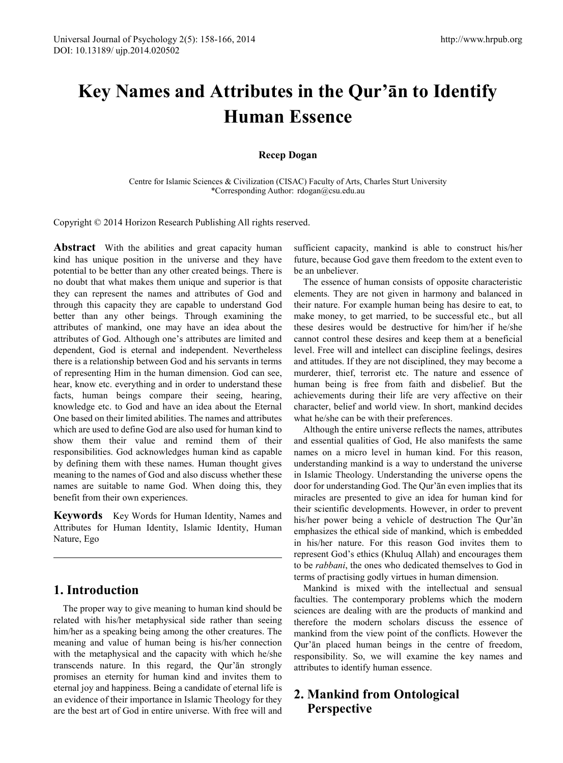# **Key Names and Attributes in the Qur'ān to Identify Human Essence**

### **Recep Dogan**

Centre for Islamic Sciences & Civilization (CISAC) Faculty of Arts, Charles Sturt University \*Corresponding Author: rdogan@csu.edu.au

Copyright © 2014 Horizon Research Publishing All rights reserved.

Abstract With the abilities and great capacity human kind has unique position in the universe and they have potential to be better than any other created beings. There is no doubt that what makes them unique and superior is that they can represent the names and attributes of God and through this capacity they are capable to understand God better than any other beings. Through examining the attributes of mankind, one may have an idea about the attributes of God. Although one's attributes are limited and dependent, God is eternal and independent. Nevertheless there is a relationship between God and his servants in terms of representing Him in the human dimension. God can see, hear, know etc. everything and in order to understand these facts, human beings compare their seeing, hearing, knowledge etc. to God and have an idea about the Eternal One based on their limited abilities. The names and attributes which are used to define God are also used for human kind to show them their value and remind them of their responsibilities. God acknowledges human kind as capable by defining them with these names. Human thought gives meaning to the names of God and also discuss whether these names are suitable to name God. When doing this, they benefit from their own experiences.

**Keywords** Key Words for Human Identity, Names and Attributes for Human Identity, Islamic Identity, Human Nature, Ego

## **1. Introduction**

The proper way to give meaning to human kind should be related with his/her metaphysical side rather than seeing him/her as a speaking being among the other creatures. The meaning and value of human being is his/her connection with the metaphysical and the capacity with which he/she transcends nature. In this regard, the Qur'ān strongly promises an eternity for human kind and invites them to eternal joy and happiness. Being a candidate of eternal life is an evidence of their importance in Islamic Theology for they are the best art of God in entire universe. With free will and sufficient capacity, mankind is able to construct his/her future, because God gave them freedom to the extent even to be an unbeliever.

The essence of human consists of opposite characteristic elements. They are not given in harmony and balanced in their nature. For example human being has desire to eat, to make money, to get married, to be successful etc., but all these desires would be destructive for him/her if he/she cannot control these desires and keep them at a beneficial level. Free will and intellect can discipline feelings, desires and attitudes. If they are not disciplined, they may become a murderer, thief, terrorist etc. The nature and essence of human being is free from faith and disbelief. But the achievements during their life are very affective on their character, belief and world view. In short, mankind decides what he/she can be with their preferences.

Although the entire universe reflects the names, attributes and essential qualities of God, He also manifests the same names on a micro level in human kind. For this reason, understanding mankind is a way to understand the universe in Islamic Theology. Understanding the universe opens the door for understanding God. The Qur'ān even implies that its miracles are presented to give an idea for human kind for their scientific developments. However, in order to prevent his/her power being a vehicle of destruction The Qur'ān emphasizes the ethical side of mankind, which is embedded in his/her nature. For this reason God invites them to represent God's ethics (Khuluq Allah) and encourages them to be *rabbani*, the ones who dedicated themselves to God in terms of practising godly virtues in human dimension.

Mankind is mixed with the intellectual and sensual faculties. The contemporary problems which the modern sciences are dealing with are the products of mankind and therefore the modern scholars discuss the essence of mankind from the view point of the conflicts. However the Qur'ān placed human beings in the centre of freedom, responsibility. So, we will examine the key names and attributes to identify human essence.

# **2. Mankind from Ontological Perspective**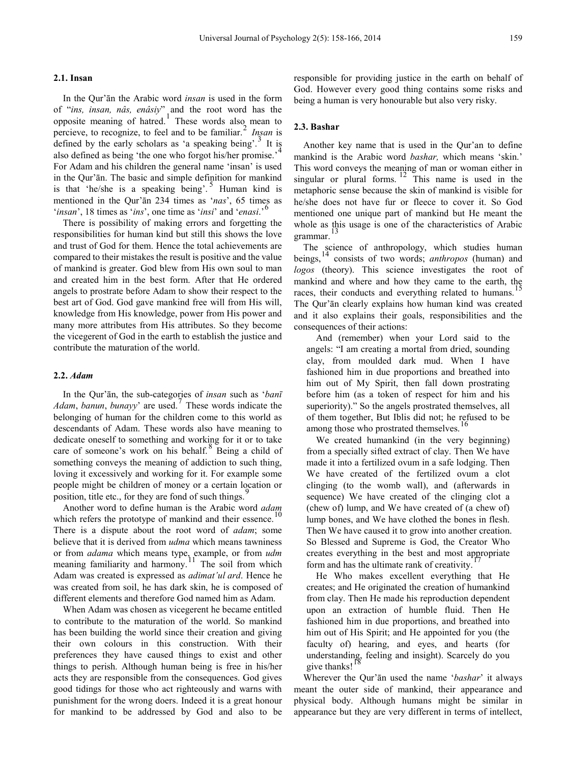#### **2.1. Insan**

In the Qur'ān the Arabic word *insan* is used in the form of "*ins, insan, nâs, enâsiy*" and the root word has the opposite meaning of hatred.<sup>[1](#page-7-0)</sup> These words also mean to percieve, to recognize, to feel and to be familiar.[2](#page-7-1) *Insan* is defined by the early scholars as 'a speaking being'.<sup>[3](#page-7-2)</sup> It is also defined as being 'the one who forgot his/her promise.'<sup>[4](#page-7-3)</sup> For Adam and his children the general name 'insan' is used in the Qur'ān. The basic and simple definition for mankind is that 'he/she is a speaking being'.<sup>[5](#page-7-4)</sup> Human kind is mentioned in the Qur'ān 234 times as '*nas*', 65 times as '*insan*', 18 times as '*ins*', one time as '*insi*' and '*enasi*.'[6](#page-7-5)

There is possibility of making errors and forgetting the responsibilities for human kind but still this shows the love and trust of God for them. Hence the total achievements are compared to their mistakes the result is positive and the value of mankind is greater. God blew from His own soul to man and created him in the best form. After that He ordered angels to prostrate before Adam to show their respect to the best art of God. God gave mankind free will from His will, knowledge from His knowledge, power from His power and many more attributes from His attributes. So they become the vicegerent of God in the earth to establish the justice and contribute the maturation of the world.

#### **2.2.** *Adam*

In the Qur'ān, the sub-categories of *insan* such as '*banī Adam*, *banun*, *bunayy*' are used.[7](#page-7-6) These words indicate the belonging of human for the children come to this world as descendants of Adam. These words also have meaning to dedicate oneself to something and working for it or to take care of someone's work on his behalf. $8$  Being a child of something conveys the meaning of addiction to such thing, loving it excessively and working for it. For example some people might be children of money or a certain location or position, title etc., for they are fond of such things.

Another word to define human is the Arabic word *adam* which refers the prototype of mankind and their essence. There is a dispute about the root word of *adam*; some believe that it is derived from *udma* which means tawniness or from *adama* which means type, example, or from *udm* meaning familiarity and harmony.<sup>[11](#page-7-10)</sup> The soil from which Adam was created is expressed as *adimat'ul ard*. Hence he was created from soil, he has dark skin, he is composed of different elements and therefore God named him as Adam.

When Adam was chosen as vicegerent he became entitled to contribute to the maturation of the world. So mankind has been building the world since their creation and giving their own colours in this construction. With their preferences they have caused things to exist and other things to perish. Although human being is free in his/her acts they are responsible from the consequences. God gives good tidings for those who act righteously and warns with punishment for the wrong doers. Indeed it is a great honour for mankind to be addressed by God and also to be responsible for providing justice in the earth on behalf of God. However every good thing contains some risks and being a human is very honourable but also very risky.

#### **2.3. Bashar**

Another key name that is used in the Qur'an to define mankind is the Arabic word *bashar,* which means 'skin.' This word conveys the meaning of man or woman either in singular or plural forms.<sup>[12](#page-8-0)</sup> This name is used in the metaphoric sense because the skin of mankind is visible for he/she does not have fur or fleece to cover it. So God mentioned one unique part of mankind but He meant the whole as this usage is one of the characteristics of Arabic  $\frac{13}{2}$  $\frac{13}{2}$  $\frac{13}{2}$ grammar.

The science of anthropology, which studies human beings, [14](#page-8-2) consists of two words; *anthropos* (human) and *logos* (theory). This science investigates the root of mankind and where and how they came to the earth, the races, their conducts and everything related to humans.<sup>[15](#page-8-3)</sup> The Qur'ān clearly explains how human kind was created and it also explains their goals, responsibilities and the consequences of their actions:

And (remember) when your Lord said to the angels: "I am creating a mortal from dried, sounding clay, from moulded dark mud. When I have fashioned him in due proportions and breathed into him out of My Spirit, then fall down prostrating before him (as a token of respect for him and his superiority)." So the angels prostrated themselves, all of them together, But Iblis did not; he refused to be among those who prostrated themselves.<sup>[16](#page-8-4)</sup>

We created humankind (in the very beginning) from a specially sifted extract of clay. Then We have made it into a fertilized ovum in a safe lodging. Then We have created of the fertilized ovum a clot clinging (to the womb wall), and (afterwards in sequence) We have created of the clinging clot a (chew of) lump, and We have created of (a chew of) lump bones, and We have clothed the bones in flesh. Then We have caused it to grow into another creation. So Blessed and Supreme is God, the Creator Who creates everything in the best and most appropriate form and has the ultimate rank of creativity.

He Who makes excellent everything that He creates; and He originated the creation of humankind from clay. Then He made his reproduction dependent upon an extraction of humble fluid. Then He fashioned him in due proportions, and breathed into him out of His Spirit; and He appointed for you (the faculty of) hearing, and eyes, and hearts (for understanding, feeling and insight). Scarcely do you give thanks!<sup>[18](#page-8-6)</sup>

Wherever the Qur'ān used the name '*bashar*' it always meant the outer side of mankind, their appearance and physical body. Although humans might be similar in appearance but they are very different in terms of intellect,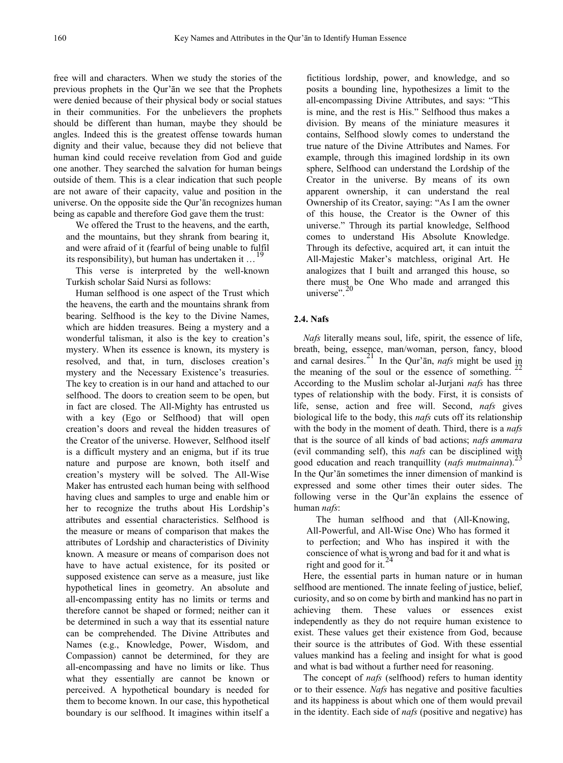free will and characters. When we study the stories of the previous prophets in the Qur'ān we see that the Prophets were denied because of their physical body or social statues in their communities. For the unbelievers the prophets should be different than human, maybe they should be angles. Indeed this is the greatest offense towards human dignity and their value, because they did not believe that human kind could receive revelation from God and guide one another. They searched the salvation for human beings outside of them. This is a clear indication that such people are not aware of their capacity, value and position in the universe. On the opposite side the Qur'ān recognizes human being as capable and therefore God gave them the trust:

We offered the Trust to the heavens, and the earth, and the mountains, but they shrank from bearing it, and were afraid of it (fearful of being unable to fulfil its responsibility), but human has undertaken it ...

This verse is interpreted by the well-known Turkish scholar Said Nursi as follows:

Human selfhood is one aspect of the Trust which the heavens, the earth and the mountains shrank from bearing. Selfhood is the key to the Divine Names, which are hidden treasures. Being a mystery and a wonderful talisman, it also is the key to creation's mystery. When its essence is known, its mystery is resolved, and that, in turn, discloses creation's mystery and the Necessary Existence's treasuries. The key to creation is in our hand and attached to our selfhood. The doors to creation seem to be open, but in fact are closed. The All-Mighty has entrusted us with a key (Ego or Selfhood) that will open creation's doors and reveal the hidden treasures of the Creator of the universe. However, Selfhood itself is a difficult mystery and an enigma, but if its true nature and purpose are known, both itself and creation's mystery will be solved. The All-Wise Maker has entrusted each human being with selfhood having clues and samples to urge and enable him or her to recognize the truths about His Lordship's attributes and essential characteristics. Selfhood is the measure or means of comparison that makes the attributes of Lordship and characteristics of Divinity known. A measure or means of comparison does not have to have actual existence, for its posited or supposed existence can serve as a measure, just like hypothetical lines in geometry. An absolute and all-encompassing entity has no limits or terms and therefore cannot be shaped or formed; neither can it be determined in such a way that its essential nature can be comprehended. The Divine Attributes and Names (e.g., Knowledge, Power, Wisdom, and Compassion) cannot be determined, for they are all-encompassing and have no limits or like. Thus what they essentially are cannot be known or perceived. A hypothetical boundary is needed for them to become known. In our case, this hypothetical boundary is our selfhood. It imagines within itself a

fictitious lordship, power, and knowledge, and so posits a bounding line, hypothesizes a limit to the all-encompassing Divine Attributes, and says: "This is mine, and the rest is His." Selfhood thus makes a division. By means of the miniature measures it contains, Selfhood slowly comes to understand the true nature of the Divine Attributes and Names. For example, through this imagined lordship in its own sphere, Selfhood can understand the Lordship of the Creator in the universe. By means of its own apparent ownership, it can understand the real Ownership of its Creator, saying: "As I am the owner of this house, the Creator is the Owner of this universe." Through its partial knowledge, Selfhood comes to understand His Absolute Knowledge. Through its defective, acquired art, it can intuit the All-Majestic Maker's matchless, original Art. He analogizes that I built and arranged this house, so there must be One Who made and arranged this universe".

### **2.4. Nafs**

*Nafs* literally means soul, life, spirit, the essence of life, breath, being, essence, man/woman, person, fancy, blood and carnal desires.<sup>[21](#page-8-8)</sup> In the Qur'an, *nafs* might be used in the meaning of the soul or the essence of something. According to the Muslim scholar al-Jurjani *nafs* has three types of relationship with the body. First, it is consists of life, sense, action and free will. Second, *nafs* gives biological life to the body, this *nafs* cuts off its relationship with the body in the moment of death. Third, there is a *nafs* that is the source of all kinds of bad actions; *nafs ammara* (evil commanding self), this *nafs* can be disciplined with good education and reach tranquillity (*nafs mutmainna*).[23](#page-8-8) In the Qur'ān sometimes the inner dimension of mankind is expressed and some other times their outer sides. The following verse in the Qur'ān explains the essence of human *nafs*:

The human selfhood and that (All-Knowing, All-Powerful, and All-Wise One) Who has formed it to perfection; and Who has inspired it with the conscience of what is wrong and bad for it and what is right and good for it.<sup>[24](#page-8-8)</sup>

Here, the essential parts in human nature or in human selfhood are mentioned. The innate feeling of justice, belief, curiosity, and so on come by birth and mankind has no part in achieving them. These values or essences exist independently as they do not require human existence to exist. These values get their existence from God, because their source is the attributes of God. With these essential values mankind has a feeling and insight for what is good and what is bad without a further need for reasoning.

The concept of *nafs* (selfhood) refers to human identity or to their essence. *Nafs* has negative and positive faculties and its happiness is about which one of them would prevail in the identity. Each side of *nafs* (positive and negative) has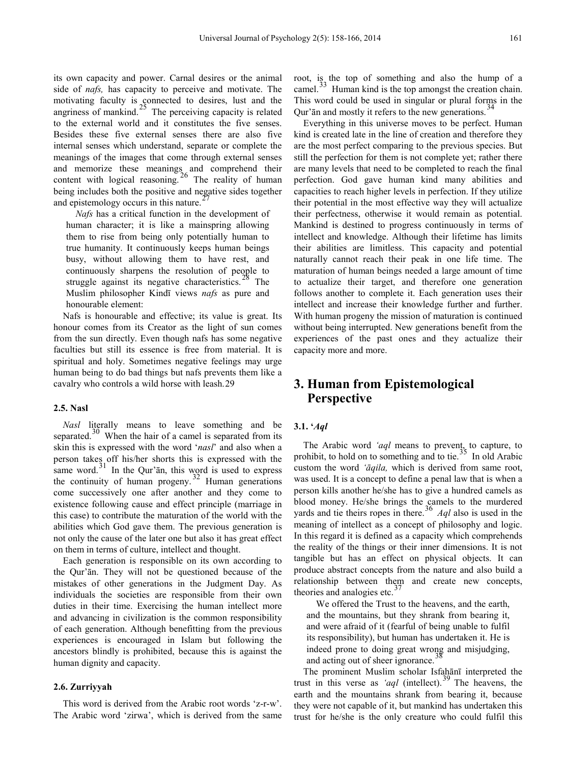its own capacity and power. Carnal desires or the animal side of *nafs,* has capacity to perceive and motivate. The motivating faculty is connected to desires, lust and the angriness of mankind.<sup>[25](#page-8-8)</sup> The perceiving capacity is related to the external world and it constitutes the five senses. Besides these five external senses there are also five internal senses which understand, separate or complete the meanings of the images that come through external senses and memorize these meanings and comprehend their content with logical reasoning.<sup>[26](#page-8-8)</sup> The reality of human being includes both the positive and negative sides together and epistemology occurs in this nature.

*Nafs* has a critical function in the development of human character; it is like a mainspring allowing them to rise from being only potentially human to true humanity. It continuously keeps human beings busy, without allowing them to have rest, and continuously sharpens the resolution of people to struggle against its negative characteristics.<sup>26</sup> The Muslim philosopher Kindī views *nafs* as pure and honourable element:

Nafs is honourable and effective; its value is great. Its honour comes from its Creator as the light of sun comes from the sun directly. Even though nafs has some negative faculties but still its essence is free from material. It is spiritual and holy. Sometimes negative feelings may urge human being to do bad things but nafs prevents them like a cavalry who controls a wild horse with leash.[29](#page-8-8)

### **2.5. Nasl**

*Nasl* literally means to leave something and be separated. $30$  When the hair of a camel is separated from its skin this is expressed with the word '*nasl*' and also when a person takes off his/her shorts this is expressed with the same word. $31$  In the Qur'an, this word is used to express the continuity of human progeny.<sup>[32](#page-8-8)</sup> Human generations come successively one after another and they come to existence following cause and effect principle (marriage in this case) to contribute the maturation of the world with the abilities which God gave them. The previous generation is not only the cause of the later one but also it has great effect on them in terms of culture, intellect and thought.

Each generation is responsible on its own according to the Qur'ān. They will not be questioned because of the mistakes of other generations in the Judgment Day. As individuals the societies are responsible from their own duties in their time. Exercising the human intellect more and advancing in civilization is the common responsibility of each generation. Although benefitting from the previous experiences is encouraged in Islam but following the ancestors blindly is prohibited, because this is against the human dignity and capacity.

### **2.6. Zurriyyah**

This word is derived from the Arabic root words 'z-r-w'. The Arabic word 'zirwa', which is derived from the same

root, is the top of something and also the hump of a camel.<sup>[33](#page-8-8)</sup> Human kind is the top amongst the creation chain. This word could be used in singular or plural forms in the Qur'ān and mostly it refers to the new generations.

Everything in this universe moves to be perfect. Human kind is created late in the line of creation and therefore they are the most perfect comparing to the previous species. But still the perfection for them is not complete yet; rather there are many levels that need to be completed to reach the final perfection. God gave human kind many abilities and capacities to reach higher levels in perfection. If they utilize their potential in the most effective way they will actualize their perfectness, otherwise it would remain as potential. Mankind is destined to progress continuously in terms of intellect and knowledge. Although their lifetime has limits their abilities are limitless. This capacity and potential naturally cannot reach their peak in one life time. The maturation of human beings needed a large amount of time to actualize their target, and therefore one generation follows another to complete it. Each generation uses their intellect and increase their knowledge further and further. With human progeny the mission of maturation is continued without being interrupted. New generations benefit from the experiences of the past ones and they actualize their capacity more and more.

# **3. Human from Epistemological Perspective**

#### **3.1. '***Aql*

The Arabic word 'aql means to prevent<sub>s</sub> to capture, to prohibit, to hold on to something and to tie.<sup>[35](#page-8-8)</sup> In old Arabic custom the word *'āqila,* which is derived from same root, was used. It is a concept to define a penal law that is when a person kills another he/she has to give a hundred camels as blood money. He/she brings the camels to the murdered yards and tie theirs ropes in there.<sup>[36](#page-8-8)</sup> *Aql* also is used in the meaning of intellect as a concept of philosophy and logic. In this regard it is defined as a capacity which comprehends the reality of the things or their inner dimensions. It is not tangible but has an effect on physical objects. It can produce abstract concepts from the nature and also build a relationship between them and create new concepts, theories and analogies etc.<sup>3</sup>

We offered the Trust to the heavens, and the earth, and the mountains, but they shrank from bearing it, and were afraid of it (fearful of being unable to fulfil its responsibility), but human has undertaken it. He is indeed prone to doing great wrong and misjudging, and acting out of sheer ignorance.

The prominent Muslim scholar Isfahānī interpreted the trust in this verse as *'aql* (intellect).[39](#page-8-8) The heavens, the earth and the mountains shrank from bearing it, because they were not capable of it, but mankind has undertaken this trust for he/she is the only creature who could fulfil this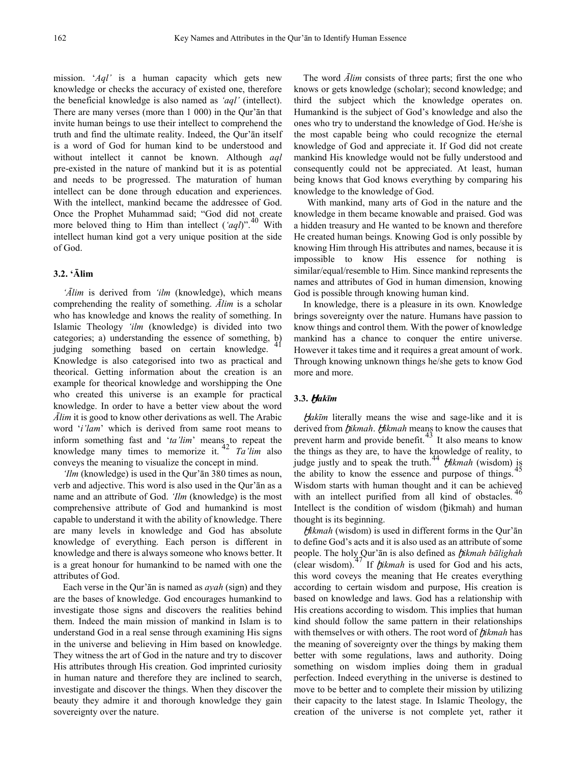mission. '*Aql'* is a human capacity which gets new knowledge or checks the accuracy of existed one, therefore the beneficial knowledge is also named as *'aql'* (intellect). There are many verses (more than 1 000) in the Qur'ān that invite human beings to use their intellect to comprehend the truth and find the ultimate reality. Indeed, the Qur'ān itself is a word of God for human kind to be understood and without intellect it cannot be known. Although *aql* pre-existed in the nature of mankind but it is as potential and needs to be progressed. The maturation of human intellect can be done through education and experiences. With the intellect, mankind became the addressee of God. Once the Prophet Muhammad said; "God did not create more beloved thing to Him than intellect  $(\text{`aql})$ ".<sup>[40](#page-8-8)</sup> With intellect human kind got a very unique position at the side of God.

### **3.2. 'Ālim**

*'Ālim* is derived from *'ilm* (knowledge), which means comprehending the reality of something. *Ālim* is a scholar who has knowledge and knows the reality of something. In Islamic Theology *'ilm* (knowledge) is divided into two categories; a) understanding the essence of something, b) judging something based on certain knowledge. Knowledge is also categorised into two as practical and theorical. Getting information about the creation is an example for theorical knowledge and worshipping the One who created this universe is an example for practical knowledge. In order to have a better view about the word *Ālim* it is good to know other derivations as well. The Arabic word '*i'lam*' which is derived from same root means to inform something fast and '*ta'lim*' means to repeat the knowledge many times to memorize it. [42](#page-8-8) *Ta'lim* also conveys the meaning to visualize the concept in mind.

*'Ilm* (knowledge) is used in the Qur'ān 380 times as noun, verb and adjective. This word is also used in the Qur'ān as a name and an attribute of God. *'Ilm* (knowledge) is the most comprehensive attribute of God and humankind is most capable to understand it with the ability of knowledge. There are many levels in knowledge and God has absolute knowledge of everything. Each person is different in knowledge and there is always someone who knows better. It is a great honour for humankind to be named with one the attributes of God.

Each verse in the Qur'ān is named as *ayah* (sign) and they are the bases of knowledge. God encourages humankind to investigate those signs and discovers the realities behind them. Indeed the main mission of mankind in Islam is to understand God in a real sense through examining His signs in the universe and believing in Him based on knowledge. They witness the art of God in the nature and try to discover His attributes through His creation. God imprinted curiosity in human nature and therefore they are inclined to search, investigate and discover the things. When they discover the beauty they admire it and thorough knowledge they gain sovereignty over the nature.

The word *Ālim* consists of three parts; first the one who knows or gets knowledge (scholar); second knowledge; and third the subject which the knowledge operates on. Humankind is the subject of God's knowledge and also the ones who try to understand the knowledge of God. He/she is the most capable being who could recognize the eternal knowledge of God and appreciate it. If God did not create mankind His knowledge would not be fully understood and consequently could not be appreciated. At least, human being knows that God knows everything by comparing his knowledge to the knowledge of God.

With mankind, many arts of God in the nature and the knowledge in them became knowable and praised. God was a hidden treasury and He wanted to be known and therefore He created human beings. Knowing God is only possible by knowing Him through His attributes and names, because it is impossible to know His essence for nothing is similar/equal/resemble to Him. Since mankind represents the names and attributes of God in human dimension, knowing God is possible through knowing human kind.

In knowledge, there is a pleasure in its own. Knowledge brings sovereignty over the nature. Humans have passion to know things and control them. With the power of knowledge mankind has a chance to conquer the entire universe. However it takes time and it requires a great amount of work. Through knowing unknown things he/she gets to know God more and more.

### **3.3. Ḫ***akīm*

Ḫ*akīm* literally means the wise and sage-like and it is derived from *fikmah*. *Hikmah* means to know the causes that prevent harm and provide benefit.<sup>[43](#page-8-8)</sup> It also means to know the things as they are, to have the knowledge of reality, to judge justly and to speak the truth.<sup>[44](#page-8-8)</sup>  $t$ *ikmah* (wisdom) is the objective to linear the essence and nurmose of things  $\frac{45}{2}$  $\frac{45}{2}$  $\frac{45}{2}$ the ability to know the essence and purpose of things. Wisdom starts with human thought and it can be achieved with an intellect purified from all kind of obstacles.<sup>[46](#page-8-8)</sup> Intellect is the condition of wisdom ( $\eta$ ikmah) and human thought is its beginning.

Ḫ*ikmah* (wisdom) is used in different forms in the Qur'ān to define God's acts and it is also used as an attribute of some people. The holy Qur'ān is also defined as ḫ*ikmah bālighah* (clear wisdom).[47](#page-8-8) If ḫ*ikmah* is used for God and his acts, this word coveys the meaning that He creates everything according to certain wisdom and purpose, His creation is based on knowledge and laws. God has a relationship with His creations according to wisdom. This implies that human kind should follow the same pattern in their relationships with themselves or with others. The root word of *hikmah* has the meaning of sovereignty over the things by making them better with some regulations, laws and authority. Doing something on wisdom implies doing them in gradual perfection. Indeed everything in the universe is destined to move to be better and to complete their mission by utilizing their capacity to the latest stage. In Islamic Theology, the creation of the universe is not complete yet, rather it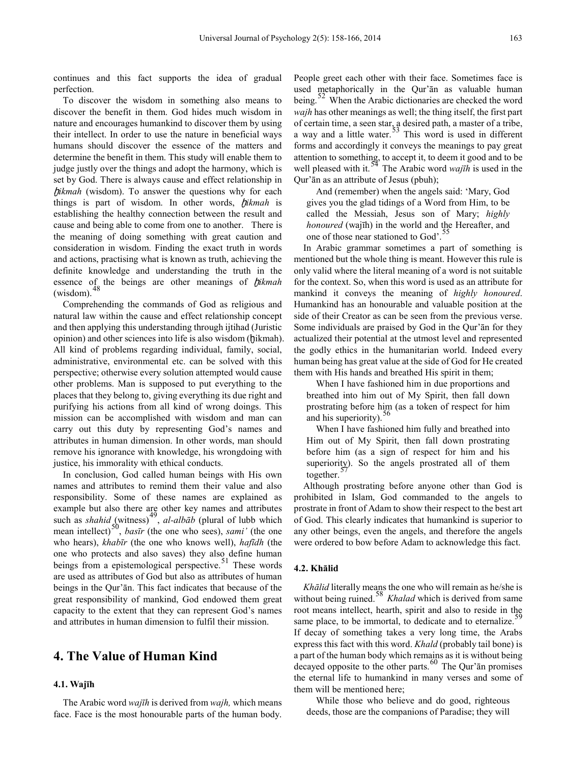continues and this fact supports the idea of gradual perfection.

To discover the wisdom in something also means to discover the benefit in them. God hides much wisdom in nature and encourages humankind to discover them by using their intellect. In order to use the nature in beneficial ways humans should discover the essence of the matters and determine the benefit in them. This study will enable them to judge justly over the things and adopt the harmony, which is set by God. There is always cause and effect relationship in ḫ*ikmah* (wisdom). To answer the questions why for each things is part of wisdom. In other words, ḫ*ikmah* is establishing the healthy connection between the result and cause and being able to come from one to another. There is the meaning of doing something with great caution and consideration in wisdom. Finding the exact truth in words and actions, practising what is known as truth, achieving the definite knowledge and understanding the truth in the essence of the beings are other meanings of ḫ*ikmah* (wisdom).

Comprehending the commands of God as religious and natural law within the cause and effect relationship concept and then applying this understanding through ijtihad (Juristic opinion) and other sciences into life is also wisdom (ḫikmah). All kind of problems regarding individual, family, social, administrative, environmental etc. can be solved with this perspective; otherwise every solution attempted would cause other problems. Man is supposed to put everything to the places that they belong to, giving everything its due right and purifying his actions from all kind of wrong doings. This mission can be accomplished with wisdom and man can carry out this duty by representing God's names and attributes in human dimension. In other words, man should remove his ignorance with knowledge, his wrongdoing with justice, his immorality with ethical conducts.

In conclusion, God called human beings with His own names and attributes to remind them their value and also responsibility. Some of these names are explained as example but also there are other key names and attributes such as *shahid* (witness)<sup>[49](#page-8-8)</sup>, *al-albāb* (plural of lubb which mean intellect)<sup>[50](#page-8-8)</sup>, *basīr* (the one who sees), *sami'* (the one who hears), *khabīr* (the one who knows well), *hafīdh* (the one who protects and also saves) they also define human beings from a epistemological perspective.  $51$  These words are used as attributes of God but also as attributes of human beings in the Qur'ān. This fact indicates that because of the great responsibility of mankind, God endowed them great capacity to the extent that they can represent God's names and attributes in human dimension to fulfil their mission.

# **4. The Value of Human Kind**

### **4.1. Wajīh**

The Arabic word *wajīh* is derived from *wajh,* which means face. Face is the most honourable parts of the human body.

People greet each other with their face. Sometimes face is used metaphorically in the Qur'ān as valuable human being.<sup>[52](#page-8-8)</sup> When the Arabic dictionaries are checked the word *wajh* has other meanings as well; the thing itself, the first part of certain time, a seen star, a desired path, a master of a tribe, a way and a little water.<sup>33</sup> This word is used in different forms and accordingly it conveys the meanings to pay great attention to something, to accept it, to deem it good and to be well pleased with it.<sup>[54](#page-8-8)</sup> The Arabic word *wajīh* is used in the Qur'ān as an attribute of Jesus (pbuh);

And (remember) when the angels said: 'Mary, God gives you the glad tidings of a Word from Him, to be called the Messiah, Jesus son of Mary; *highly honoured* (wajīh) in the world and the Hereafter, and one of those near stationed to God'.

In Arabic grammar sometimes a part of something is mentioned but the whole thing is meant. However this rule is only valid where the literal meaning of a word is not suitable for the context. So, when this word is used as an attribute for mankind it conveys the meaning of *highly honoured*. Humankind has an honourable and valuable position at the side of their Creator as can be seen from the previous verse. Some individuals are praised by God in the Qur'ān for they actualized their potential at the utmost level and represented the godly ethics in the humanitarian world. Indeed every human being has great value at the side of God for He created them with His hands and breathed His spirit in them;

When I have fashioned him in due proportions and breathed into him out of My Spirit, then fall down prostrating before him (as a token of respect for him and his superiority).

When I have fashioned him fully and breathed into Him out of My Spirit, then fall down prostrating before him (as a sign of respect for him and his superiority). So the angels prostrated all of them together.

Although prostrating before anyone other than God is prohibited in Islam, God commanded to the angels to prostrate in front of Adam to show their respect to the best art of God. This clearly indicates that humankind is superior to any other beings, even the angels, and therefore the angels were ordered to bow before Adam to acknowledge this fact.

### **4.2. Khālid**

*Khālid* literally means the one who will remain as he/she is without being ruined.<sup>[58](#page-8-8)</sup> *Khalad* which is derived from same root means intellect, hearth, spirit and also to reside in the same place, to be immortal, to dedicate and to eternalize. $\overline{5}$ If decay of something takes a very long time, the Arabs express this fact with this word. *Khald* (probably tail bone) is a part of the human body which remains as it is without being decayed opposite to the other parts.<sup>[60](#page-8-8)</sup> The Qur'ān promises the eternal life to humankind in many verses and some of them will be mentioned here;

While those who believe and do good, righteous deeds, those are the companions of Paradise; they will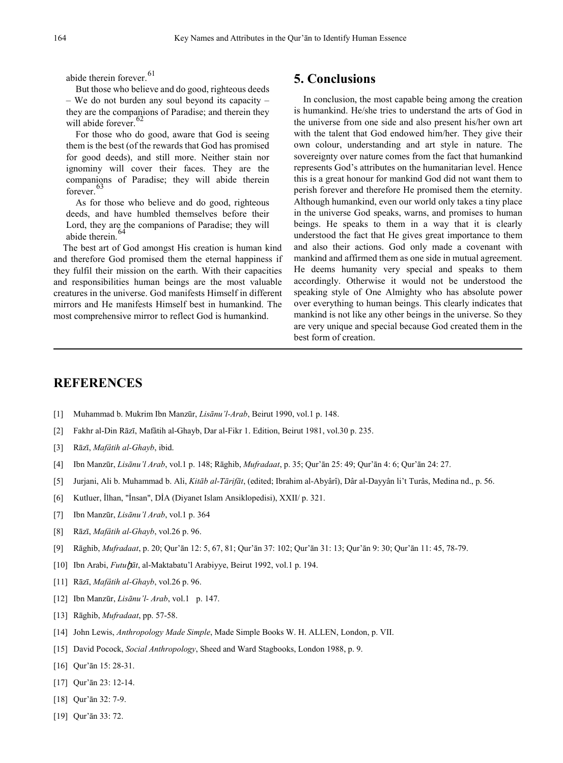abide therein forever.<sup>[61](#page-8-8)</sup>

But those who believe and do good, righteous deeds – We do not burden any soul beyond its capacity – they are the companions of Paradise; and therein they will abide forever.

For those who do good, aware that God is seeing them is the best (of the rewards that God has promised for good deeds), and still more. Neither stain nor ignominy will cover their faces. They are the companions of Paradise; they will abide therein forever.

As for those who believe and do good, righteous deeds, and have humbled themselves before their Lord, they are the companions of Paradise; they will abide therein.

The best art of God amongst His creation is human kind and therefore God promised them the eternal happiness if they fulfil their mission on the earth. With their capacities and responsibilities human beings are the most valuable creatures in the universe. God manifests Himself in different mirrors and He manifests Himself best in humankind. The most comprehensive mirror to reflect God is humankind.

### **5. Conclusions**

In conclusion, the most capable being among the creation is humankind. He/she tries to understand the arts of God in the universe from one side and also present his/her own art with the talent that God endowed him/her. They give their own colour, understanding and art style in nature. The sovereignty over nature comes from the fact that humankind represents God's attributes on the humanitarian level. Hence this is a great honour for mankind God did not want them to perish forever and therefore He promised them the eternity. Although humankind, even our world only takes a tiny place in the universe God speaks, warns, and promises to human beings. He speaks to them in a way that it is clearly understood the fact that He gives great importance to them and also their actions. God only made a covenant with mankind and affirmed them as one side in mutual agreement. He deems humanity very special and speaks to them accordingly. Otherwise it would not be understood the speaking style of One Almighty who has absolute power over everything to human beings. This clearly indicates that mankind is not like any other beings in the universe. So they are very unique and special because God created them in the best form of creation.

### **REFERENCES**

- [1] Muhammad b. Mukrim Ibn Manzūr, *Lisānu'l-Arab*, Beirut 1990, vol.1 p. 148.
- [2] Fakhr al-Din Rāzī, Mafâtih al-Ghayb, Dar al-Fikr 1. Edition, Beirut 1981, vol.30 p. 235.
- [3] Rāzī, *Mafâtih al-Ghayb*, ibid.
- [4] Ibn Manzūr, *Lisānu'l Arab*, vol.1 p. 148; Rāghib, *Mufradaat*, p. 35; Qur'ān 25: 49; Qur'ān 4: 6; Qur'ān 24: 27.
- [5] Jurjani, Ali b. Muhammad b. Ali, *Kitāb al-Tārifāt*, (edited; Ibrahim al-Abyârî), Dâr al-Dayyân li't Turâs, Medina nd., p. 56.
- [6] Kutluer, İlhan, "İnsan", DİA (Diyanet Islam Ansiklopedisi), XXII/ p. 321.
- [7] Ibn Manzūr, *Lisānu'l Arab*, vol.1 p. 364
- [8] Rāzī, *Mafâtih al-Ghayb*, vol.26 p. 96.
- [9] Rāghib, *Mufradaat*, p. 20; Qur'ān 12: 5, 67, 81; Qur'ān 37: 102; Qur'ān 31: 13; Qur'ān 9: 30; Qur'ān 11: 45, 78-79.
- [10] Ibn Arabi, *Futu*ḫ*āt*, al-Maktabatu'l Arabiyye, Beirut 1992, vol.1 p. 194.
- [11] Rāzī, *Mafâtih al-Ghayb*, vol.26 p. 96.
- [12] Ibn Manzūr, *Lisānu'l- Arab*, vol.1 p. 147.
- [13] Rāghib, *Mufradaat*, pp. 57-58.
- [14] John Lewis, *Anthropology Made Simple*, Made Simple Books W. H. ALLEN, London, p. VII.
- [15] David Pocock, *Social Anthropology*, Sheed and Ward Stagbooks, London 1988, p. 9.
- [16] Qur'ān 15: 28-31.
- [17] Qur'ān 23: 12-14.
- [18] Qur'ān 32: 7-9.
- [19] Qur'ān 33: 72.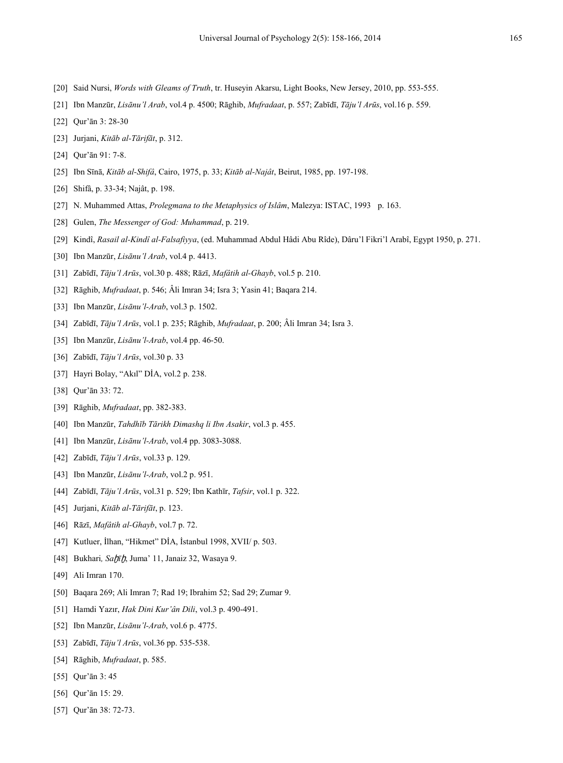- [20] Said Nursi, *Words with Gleams of Truth*, tr. Huseyin Akarsu, Light Books, New Jersey, 2010, pp. 553-555.
- [21] Ibn Manzūr, *Lisānu'l Arab*, vol.4 p. 4500; Rāghib, *Mufradaat*, p. 557; Zabīdī, *Tāju'l Arūs*, vol.16 p. 559.
- [22] Qur'ān 3: 28-30
- [23] Jurjani, *Kitāb al-Tārifāt*, p. 312.
- [24] Qur'ān 91: 7-8.
- [25] Ibn Sīnā, *Kitāb al-Shifâ*, Cairo, 1975, p. 33; *Kitāb al-Najât*, Beirut, 1985, pp. 197-198.
- [26] Shifâ, p. 33-34; Najât, p. 198.
- [27] N. Muhammed Attas, *Prolegmana to the Metaphysics of Islâm*, Malezya: ISTAC, 1993 p. 163.
- [28] Gulen, *The Messenger of God: Muhammad*, p. 219.
- [29] Kindî, *Rasail al-Kindî al-Falsafiyya*, (ed. Muhammad Abdul Hâdi Abu Rîde), Dâru'l Fikri'l Arabî, Egypt 1950, p. 271.
- [30] Ibn Manzūr, *Lisānu'l Arab*, vol.4 p. 4413.
- [31] Zabīdī, *Tāju'l Arūs*, vol.30 p. 488; Rāzī, *Mafâtih al-Ghayb*, vol.5 p. 210.
- [32] Rāghib, *Mufradaat*, p. 546; Âli Imran 34; Isra 3; Yasin 41; Baqara 214.
- [33] Ibn Manzūr, *Lisānu'l-Arab*, vol.3 p. 1502.
- [34] Zabīdī, *Tāju'l Arūs*, vol.1 p. 235; Rāghib, *Mufradaat*, p. 200; Âli Imran 34; Isra 3.
- [35] Ibn Manzūr, *Lisānu'l-Arab*, vol.4 pp. 46-50.
- [36] Zabīdī, *Tāju'l Arūs*, vol.30 p. 33
- [37] Hayri Bolay, "Akıl" DİA, vol.2 p. 238.
- [38] Qur'ān 33: 72.
- <span id="page-7-0"></span>[39] Rāghib, *Mufradaat*, pp. 382-383.
- <span id="page-7-1"></span>[40] Ibn Manzūr, *Tahdhīb Tārikh Dimashq li Ibn Asakir*, vol.3 p. 455.
- <span id="page-7-2"></span>[41] Ibn Manzūr, *Lisānu'l-Arab*, vol.4 pp. 3083-3088.
- <span id="page-7-3"></span>[42] Zabīdī, *Tāju'l Arūs*, vol.33 p. 129.
- <span id="page-7-4"></span>[43] Ibn Manzūr, *Lisānu'l-Arab*, vol.2 p. 951.
- <span id="page-7-5"></span>[44] Zabīdī, *Tāju'l Arūs*, vol.31 p. 529; Ibn Kathīr, *Tafsir*, vol.1 p. 322.
- <span id="page-7-6"></span>[45] Jurjani, *Kitāb al-Tārifāt*, p. 123.
- <span id="page-7-7"></span>[46] Rāzī, *Mafâtih al-Ghayb*, vol.7 p. 72.
- <span id="page-7-8"></span>[47] Kutluer, İlhan, "Hikmet" DİA, İstanbul 1998, XVII/ p. 503.
- <span id="page-7-9"></span>[48] Bukhari, Sahīh, Juma' 11, Janaiz 32, Wasaya 9.
- <span id="page-7-10"></span>[49] Ali Imran 170.
- [50] Baqara 269; Ali Imran 7; Rad 19; Ibrahim 52; Sad 29; Zumar 9.
- [51] Hamdi Yazır, *Hak Dini Kur'ân Dili*, vol.3 p. 490-491.
- [52] Ibn Manzūr, *Lisānu'l-Arab*, vol.6 p. 4775.
- [53] Zabīdī, *Tāju'l Arūs*, vol.36 pp. 535-538.
- [54] Rāghib, *Mufradaat*, p. 585.
- [55] Qur'ān 3: 45
- [56] Qur'ān 15: 29.
- [57] Qur'ān 38: 72-73.